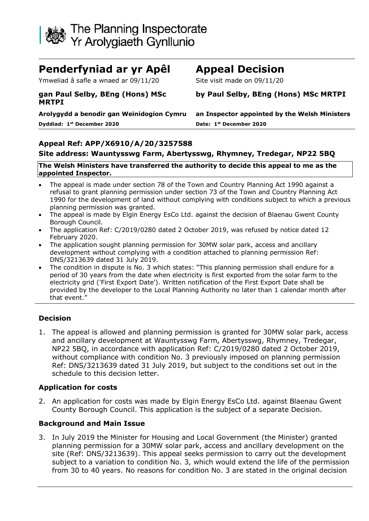

# **Penderfyniad ar yr Apêl Appeal Decision**

Ymweliad â safle a wnaed ar 09/11/20 Site visit made on 09/11/20

#### **gan Paul Selby, BEng (Hons) MSc MRTPI**

**Dyddiad: 1 st December 2020 Date: 1**

**by Paul Selby, BEng (Hons) MSc MRTPI**

**Arolygydd a benodir gan Weinidogion Cymru an Inspector appointed by the Welsh Ministers st December 2020**

#### **Appeal Ref: APP/X6910/A/20/3257588**

#### **Site address: Wauntysswg Farm, Abertysswg, Rhymney, Tredegar, NP22 5BQ**

#### **The Welsh Ministers have transferred the authority to decide this appeal to me as the appointed Inspector.**

- The appeal is made under section 78 of the Town and Country Planning Act 1990 against a refusal to grant planning permission under section 73 of the Town and Country Planning Act 1990 for the development of land without complying with conditions subject to which a previous planning permission was granted.
- The appeal is made by Elgin Energy EsCo Ltd. against the decision of Blaenau Gwent County Borough Council.
- The application Ref: C/2019/0280 dated 2 October 2019, was refused by notice dated 12 February 2020.
- The application sought planning permission for 30MW solar park, access and ancillary development without complying with a condition attached to planning permission Ref: DNS/3213639 dated 31 July 2019.
- The condition in dispute is No. 3 which states: "This planning permission shall endure for a period of 30 years from the date when electricity is first exported from the solar farm to the electricity grid ('First Export Date'). Written notification of the First Export Date shall be provided by the developer to the Local Planning Authority no later than 1 calendar month after that event."

#### **Decision**

1. The appeal is allowed and planning permission is granted for 30MW solar park, access and ancillary development at Wauntysswg Farm, Abertysswg, Rhymney, Tredegar, NP22 5BQ, in accordance with application Ref: C/2019/0280 dated 2 October 2019, without compliance with condition No. 3 previously imposed on planning permission Ref: DNS/3213639 dated 31 July 2019, but subject to the conditions set out in the schedule to this decision letter.

#### **Application for costs**

2. An application for costs was made by Elgin Energy EsCo Ltd. against Blaenau Gwent County Borough Council. This application is the subject of a separate Decision.

#### **Background and Main Issue**

3. In July 2019 the Minister for Housing and Local Government (the Minister) granted planning permission for a 30MW solar park, access and ancillary development on the site (Ref: DNS/3213639). This appeal seeks permission to carry out the development subject to a variation to condition No. 3, which would extend the life of the permission from 30 to 40 years. No reasons for condition No. 3 are stated in the original decision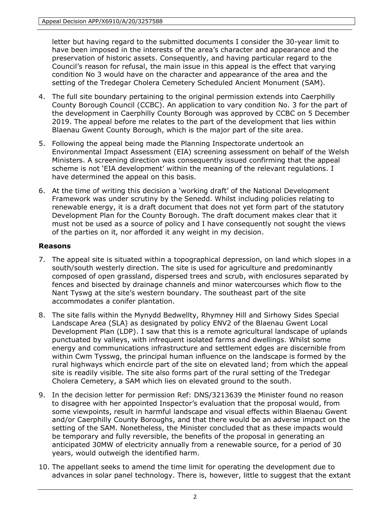letter but having regard to the submitted documents I consider the 30-year limit to have been imposed in the interests of the area's character and appearance and the preservation of historic assets. Consequently, and having particular regard to the Council's reason for refusal, the main issue in this appeal is the effect that varying condition No 3 would have on the character and appearance of the area and the setting of the Tredegar Cholera Cemetery Scheduled Ancient Monument (SAM).

- 4. The full site boundary pertaining to the original permission extends into Caerphilly County Borough Council (CCBC). An application to vary condition No. 3 for the part of the development in Caerphilly County Borough was approved by CCBC on 5 December 2019. The appeal before me relates to the part of the development that lies within Blaenau Gwent County Borough, which is the major part of the site area.
- 5. Following the appeal being made the Planning Inspectorate undertook an Environmental Impact Assessment (EIA) screening assessment on behalf of the Welsh Ministers. A screening direction was consequently issued confirming that the appeal scheme is not 'EIA development' within the meaning of the relevant regulations. I have determined the appeal on this basis.
- 6. At the time of writing this decision a 'working draft' of the National Development Framework was under scrutiny by the Senedd. Whilst including policies relating to renewable energy, it is a draft document that does not yet form part of the statutory Development Plan for the County Borough. The draft document makes clear that it must not be used as a source of policy and I have consequently not sought the views of the parties on it, nor afforded it any weight in my decision.

# **Reasons**

- 7. The appeal site is situated within a topographical depression, on land which slopes in a south/south westerly direction. The site is used for agriculture and predominantly composed of open grassland, dispersed trees and scrub, with enclosures separated by fences and bisected by drainage channels and minor watercourses which flow to the Nant Tyswg at the site's western boundary. The southeast part of the site accommodates a conifer plantation.
- 8. The site falls within the Mynydd Bedwellty, Rhymney Hill and Sirhowy Sides Special Landscape Area (SLA) as designated by policy ENV2 of the Blaenau Gwent Local Development Plan (LDP). I saw that this is a remote agricultural landscape of uplands punctuated by valleys, with infrequent isolated farms and dwellings. Whilst some energy and communications infrastructure and settlement edges are discernible from within Cwm Tysswg, the principal human influence on the landscape is formed by the rural highways which encircle part of the site on elevated land; from which the appeal site is readily visible. The site also forms part of the rural setting of the Tredegar Cholera Cemetery, a SAM which lies on elevated ground to the south.
- 9. In the decision letter for permission Ref: DNS/3213639 the Minister found no reason to disagree with her appointed Inspector's evaluation that the proposal would, from some viewpoints, result in harmful landscape and visual effects within Blaenau Gwent and/or Caerphilly County Boroughs, and that there would be an adverse impact on the setting of the SAM. Nonetheless, the Minister concluded that as these impacts would be temporary and fully reversible, the benefits of the proposal in generating an anticipated 30MW of electricity annually from a renewable source, for a period of 30 years, would outweigh the identified harm.
- 10. The appellant seeks to amend the time limit for operating the development due to advances in solar panel technology. There is, however, little to suggest that the extant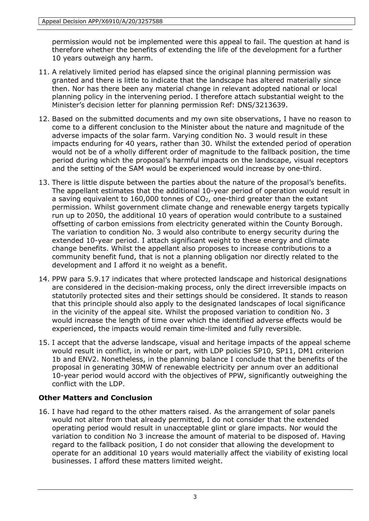permission would not be implemented were this appeal to fail. The question at hand is therefore whether the benefits of extending the life of the development for a further 10 years outweigh any harm.

- 11. A relatively limited period has elapsed since the original planning permission was granted and there is little to indicate that the landscape has altered materially since then. Nor has there been any material change in relevant adopted national or local planning policy in the intervening period. I therefore attach substantial weight to the Minister's decision letter for planning permission Ref: DNS/3213639.
- 12. Based on the submitted documents and my own site observations, I have no reason to come to a different conclusion to the Minister about the nature and magnitude of the adverse impacts of the solar farm. Varying condition No. 3 would result in these impacts enduring for 40 years, rather than 30. Whilst the extended period of operation would not be of a wholly different order of magnitude to the fallback position, the time period during which the proposal's harmful impacts on the landscape, visual receptors and the setting of the SAM would be experienced would increase by one-third.
- 13. There is little dispute between the parties about the nature of the proposal's benefits. The appellant estimates that the additional 10-year period of operation would result in a saving equivalent to 160,000 tonnes of  $CO<sub>2</sub>$ , one-third greater than the extant permission. Whilst government climate change and renewable energy targets typically run up to 2050, the additional 10 years of operation would contribute to a sustained offsetting of carbon emissions from electricity generated within the County Borough. The variation to condition No. 3 would also contribute to energy security during the extended 10-year period. I attach significant weight to these energy and climate change benefits. Whilst the appellant also proposes to increase contributions to a community benefit fund, that is not a planning obligation nor directly related to the development and I afford it no weight as a benefit.
- 14. PPW para 5.9.17 indicates that where protected landscape and historical designations are considered in the decision-making process, only the direct irreversible impacts on statutorily protected sites and their settings should be considered. It stands to reason that this principle should also apply to the designated landscapes of local significance in the vicinity of the appeal site. Whilst the proposed variation to condition No. 3 would increase the length of time over which the identified adverse effects would be experienced, the impacts would remain time-limited and fully reversible.
- 15. I accept that the adverse landscape, visual and heritage impacts of the appeal scheme would result in conflict, in whole or part, with LDP policies SP10, SP11, DM1 criterion 1b and ENV2. Nonetheless, in the planning balance I conclude that the benefits of the proposal in generating 30MW of renewable electricity per annum over an additional 10-year period would accord with the objectives of PPW, significantly outweighing the conflict with the LDP.

# **Other Matters and Conclusion**

16. I have had regard to the other matters raised. As the arrangement of solar panels would not alter from that already permitted, I do not consider that the extended operating period would result in unacceptable glint or glare impacts. Nor would the variation to condition No 3 increase the amount of material to be disposed of. Having regard to the fallback position, I do not consider that allowing the development to operate for an additional 10 years would materially affect the viability of existing local businesses. I afford these matters limited weight.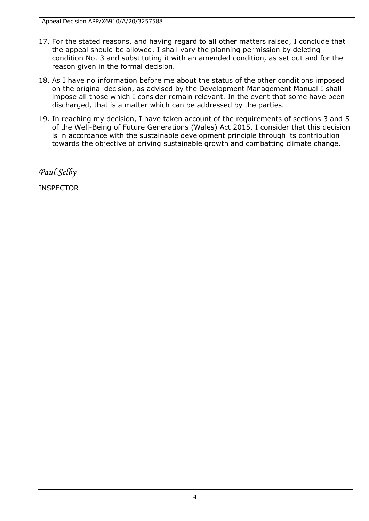- 17. For the stated reasons, and having regard to all other matters raised, I conclude that the appeal should be allowed. I shall vary the planning permission by deleting condition No. 3 and substituting it with an amended condition, as set out and for the reason given in the formal decision.
- 18. As I have no information before me about the status of the other conditions imposed on the original decision, as advised by the Development Management Manual I shall impose all those which I consider remain relevant. In the event that some have been discharged, that is a matter which can be addressed by the parties.
- 19. In reaching my decision, I have taken account of the requirements of sections 3 and 5 of the Well-Being of Future Generations (Wales) Act 2015. I consider that this decision is in accordance with the sustainable development principle through its contribution towards the objective of driving sustainable growth and combatting climate change.

*Paul Selby*

INSPECTOR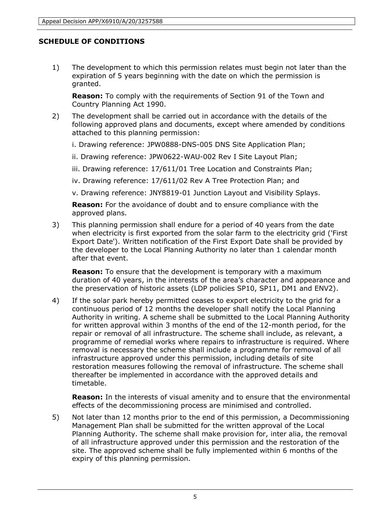### **SCHEDULE OF CONDITIONS**

1) The development to which this permission relates must begin not later than the expiration of 5 years beginning with the date on which the permission is granted.

**Reason:** To comply with the requirements of Section 91 of the Town and Country Planning Act 1990.

- 2) The development shall be carried out in accordance with the details of the following approved plans and documents, except where amended by conditions attached to this planning permission:
	- i. Drawing reference: JPW0888-DNS-005 DNS Site Application Plan;
	- ii. Drawing reference: JPW0622-WAU-002 Rev I Site Layout Plan;
	- iii. Drawing reference: 17/611/01 Tree Location and Constraints Plan;
	- iv. Drawing reference: 17/611/02 Rev A Tree Protection Plan; and
	- v. Drawing reference: JNY8819-01 Junction Layout and Visibility Splays.

**Reason:** For the avoidance of doubt and to ensure compliance with the approved plans.

3) This planning permission shall endure for a period of 40 years from the date when electricity is first exported from the solar farm to the electricity grid ('First Export Date'). Written notification of the First Export Date shall be provided by the developer to the Local Planning Authority no later than 1 calendar month after that event.

**Reason:** To ensure that the development is temporary with a maximum duration of 40 years, in the interests of the area's character and appearance and the preservation of historic assets (LDP policies SP10, SP11, DM1 and ENV2).

4) If the solar park hereby permitted ceases to export electricity to the grid for a continuous period of 12 months the developer shall notify the Local Planning Authority in writing. A scheme shall be submitted to the Local Planning Authority for written approval within 3 months of the end of the 12-month period, for the repair or removal of all infrastructure. The scheme shall include, as relevant, a programme of remedial works where repairs to infrastructure is required. Where removal is necessary the scheme shall include a programme for removal of all infrastructure approved under this permission, including details of site restoration measures following the removal of infrastructure. The scheme shall thereafter be implemented in accordance with the approved details and timetable.

**Reason:** In the interests of visual amenity and to ensure that the environmental effects of the decommissioning process are minimised and controlled.

5) Not later than 12 months prior to the end of this permission, a Decommissioning Management Plan shall be submitted for the written approval of the Local Planning Authority. The scheme shall make provision for, inter alia, the removal of all infrastructure approved under this permission and the restoration of the site. The approved scheme shall be fully implemented within 6 months of the expiry of this planning permission.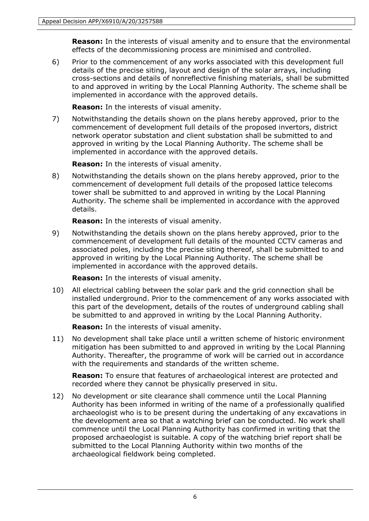**Reason:** In the interests of visual amenity and to ensure that the environmental effects of the decommissioning process are minimised and controlled.

6) Prior to the commencement of any works associated with this development full details of the precise siting, layout and design of the solar arrays, including cross-sections and details of nonreflective finishing materials, shall be submitted to and approved in writing by the Local Planning Authority. The scheme shall be implemented in accordance with the approved details.

**Reason:** In the interests of visual amenity.

7) Notwithstanding the details shown on the plans hereby approved, prior to the commencement of development full details of the proposed invertors, district network operator substation and client substation shall be submitted to and approved in writing by the Local Planning Authority. The scheme shall be implemented in accordance with the approved details.

**Reason:** In the interests of visual amenity.

8) Notwithstanding the details shown on the plans hereby approved, prior to the commencement of development full details of the proposed lattice telecoms tower shall be submitted to and approved in writing by the Local Planning Authority. The scheme shall be implemented in accordance with the approved details.

**Reason:** In the interests of visual amenity.

9) Notwithstanding the details shown on the plans hereby approved, prior to the commencement of development full details of the mounted CCTV cameras and associated poles, including the precise siting thereof, shall be submitted to and approved in writing by the Local Planning Authority. The scheme shall be implemented in accordance with the approved details.

**Reason:** In the interests of visual amenity.

10) All electrical cabling between the solar park and the grid connection shall be installed underground. Prior to the commencement of any works associated with this part of the development, details of the routes of underground cabling shall be submitted to and approved in writing by the Local Planning Authority.

**Reason:** In the interests of visual amenity.

11) No development shall take place until a written scheme of historic environment mitigation has been submitted to and approved in writing by the Local Planning Authority. Thereafter, the programme of work will be carried out in accordance with the requirements and standards of the written scheme.

**Reason:** To ensure that features of archaeological interest are protected and recorded where they cannot be physically preserved in situ.

12) No development or site clearance shall commence until the Local Planning Authority has been informed in writing of the name of a professionally qualified archaeologist who is to be present during the undertaking of any excavations in the development area so that a watching brief can be conducted. No work shall commence until the Local Planning Authority has confirmed in writing that the proposed archaeologist is suitable. A copy of the watching brief report shall be submitted to the Local Planning Authority within two months of the archaeological fieldwork being completed.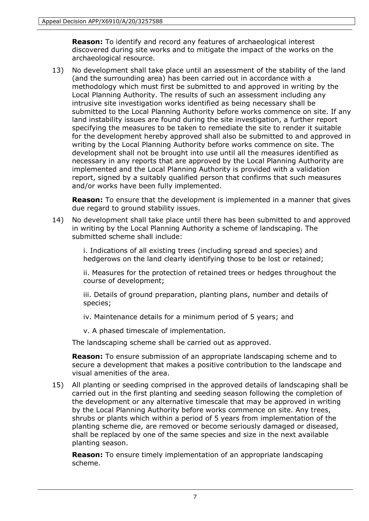**Reason:** To identify and record any features of archaeological interest discovered during site works and to mitigate the impact of the works on the archaeological resource.

13) No development shall take place until an assessment of the stability of the land (and the surrounding area) has been carried out in accordance with a methodology which must first be submitted to and approved in writing by the Local Planning Authority. The results of such an assessment including any intrusive site investigation works identified as being necessary shall be submitted to the Local Planning Authority before works commence on site. If any land instability issues are found during the site investigation, a further report specifying the measures to be taken to remediate the site to render it suitable for the development hereby approved shall also be submitted to and approved in writing by the Local Planning Authority before works commence on site. The development shall not be brought into use until all the measures identified as necessary in any reports that are approved by the Local Planning Authority are implemented and the Local Planning Authority is provided with a validation report, signed by a suitably qualified person that confirms that such measures and/or works have been fully implemented.

**Reason:** To ensure that the development is implemented in a manner that gives due regard to ground stability issues.

14) No development shall take place until there has been submitted to and approved in writing by the Local Planning Authority a scheme of landscaping. The submitted scheme shall include:

> i. Indications of all existing trees (including spread and species) and hedgerows on the land clearly identifying those to be lost or retained;

ii. Measures for the protection of retained trees or hedges throughout the course of development;

iii. Details of ground preparation, planting plans, number and details of species;

iv. Maintenance details for a minimum period of 5 years; and

v. A phased timescale of implementation.

The landscaping scheme shall be carried out as approved.

**Reason:** To ensure submission of an appropriate landscaping scheme and to secure a development that makes a positive contribution to the landscape and visual amenities of the area.

15) All planting or seeding comprised in the approved details of landscaping shall be carried out in the first planting and seeding season following the completion of the development or any alternative timescale that may be approved in writing by the Local Planning Authority before works commence on site. Any trees, shrubs or plants which within a period of 5 years from implementation of the planting scheme die, are removed or become seriously damaged or diseased, shall be replaced by one of the same species and size in the next available planting season.

**Reason:** To ensure timely implementation of an appropriate landscaping scheme.